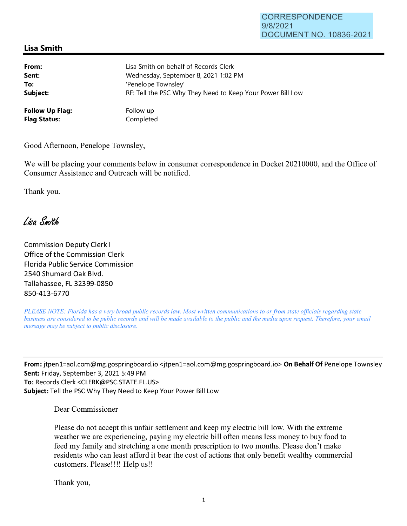## CORRESPONDENCE 9/8/2021 DOCUMENT NO. 10836-2021

## **Lisa Smith**

| From:                  | Lisa Smith on behalf of Records Clerk                      |
|------------------------|------------------------------------------------------------|
| Sent:                  | Wednesday, September 8, 2021 1:02 PM                       |
| To:                    | 'Penelope Townsley'                                        |
| Subject:               | RE: Tell the PSC Why They Need to Keep Your Power Bill Low |
| <b>Follow Up Flag:</b> | Follow up                                                  |
| <b>Flag Status:</b>    | Completed                                                  |

Good Afternoon, Penelope Townsley,

We will be placing your comments below in consumer correspondence in Docket 20210000, and the Office of Consumer Assistance and Outreach will be notified.

Thank you.

Lisa Smith

Commission Deputy Clerk I Office of the Commission Clerk Florida Public Service Commission 2540 Shumard Oak Blvd. Tallahassee, FL 32399-0850 850-413-6770

*PLEASE NOTE: Florida has a very broad public records law. Most written communications to or from state officials regarding state business are considered to be public records and will be made available to the public and the media upon request. Therefore, your email message may be subject to public disclosure.* 

**From:** jtpen1=aol.com@mg.gospringboard.io <jtpen1=aol.com@mg.gospringboard.io> **On Behalf Of** Penelope Townsley **Sent:** Friday, September 3, 2021 5:49 PM **To:** Records Clerk <CLERK@PSC.STATE.FL.US> **Subject:** Tell the PSC Why They Need to Keep Your Power Bill Low

Dear Commissioner

Please do not accept this unfair settlement and keep my electric bill low. With the extreme weather we are experiencing, paying my electric bill often means less money to buy food to feed my family and stretching a one month prescription to two months. Please don't make residents who can least afford it bear the cost of actions that only benefit wealthy commercial customers. Please!!!! Help us!!

Thank you,